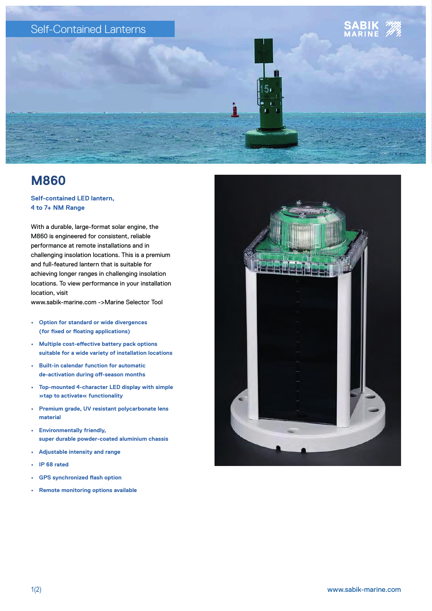

## **M860**

## **Self-contained LED lantern, 4 to 7+ NM Range**

With a durable, large-format solar engine, the M860 is engineered for consistent, reliable performance at remote installations and in challenging insolation locations. This is a premium and full-featured lantern that is suitable for achieving longer ranges in challenging insolation locations. To view performance in your installation location, visit

www.sabik-marine.com ->Marine Selector Tool

- **• Option for standard or wide divergences (for fixed or floating applications)**
- **• Multiple cost-effective battery pack options suitable for a wide variety of installation locations**
- **• Built-in calendar function for automatic de-activation during off-season months**
- **• Top-mounted 4-character LED display with simple »tap to activate« functionality**
- **• Premium grade, UV resistant polycarbonate lens material**
- **• Environmentally friendly, super durable powder-coated aluminium chassis**
- **• Adjustable intensity and range**
- **• IP 68 rated**
- **• GPS synchronized flash option**
- **• Remote monitoring options available**